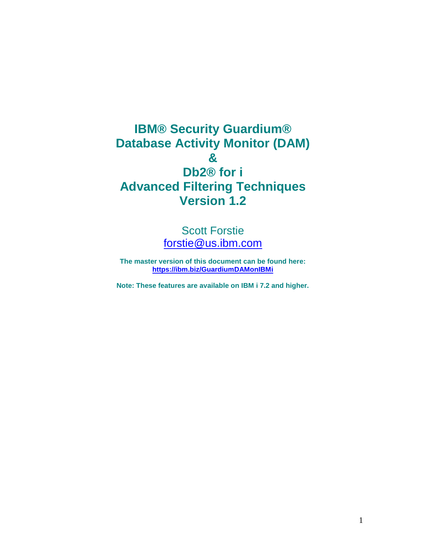**IBM® Security Guardium® Database Activity Monitor (DAM) & Db2® for i Advanced Filtering Techniques Version 1.2**

> Scott Forstie [forstie@us.ibm.com](mailto:forstie@us.ibm.com)

**The master version of this document can be found here: <https://ibm.biz/GuardiumDAMonIBMi>**

**Note: These features are available on IBM i 7.2 and higher.**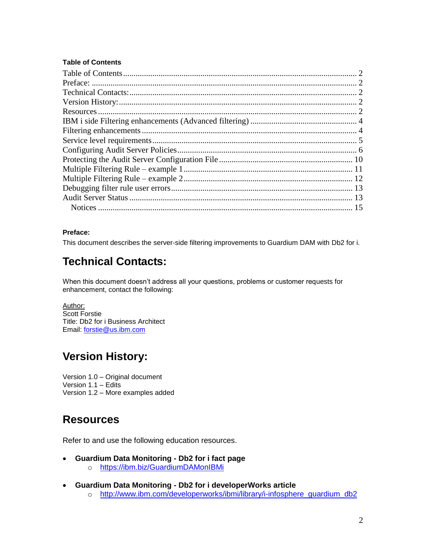#### <span id="page-1-0"></span>**Table of Contents**

#### <span id="page-1-1"></span>**Preface:**

<span id="page-1-2"></span>This document describes the server-side filtering improvements to Guardium DAM with Db2 for i.

# **Technical Contacts:**

When this document doesn't address all your questions, problems or customer requests for enhancement, contact the following:

Author: Scott Forstie Title: Db2 for i Business Architect Email: [forstie@us.ibm.com](mailto:forstie@us.ibm.com)

## <span id="page-1-3"></span>**Version History:**

Version 1.0 – Original document Version 1.1 – Edits Version 1.2 – More examples added

## <span id="page-1-4"></span>**Resources**

Refer to and use the following education resources.

- **Guardium Data Monitoring - Db2 for i fact page**
	- o <https://ibm.biz/GuardiumDAMonIBMi>
- **Guardium Data Monitoring - Db2 for i developerWorks article** 
	- o [http://www.ibm.com/developerworks/ibmi/library/i-infosphere\\_guardium\\_db2](http://www.ibm.com/developerworks/ibmi/library/i-infosphere_guardium_db2)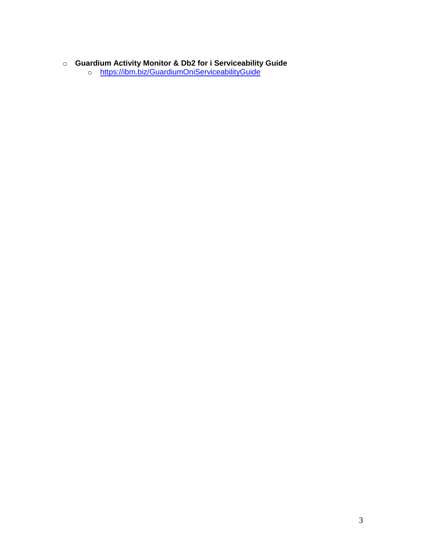#### o **Guardium Activity Monitor & Db2 for i Serviceability Guide**

o <https://ibm.biz/GuardiumOniServiceabilityGuide>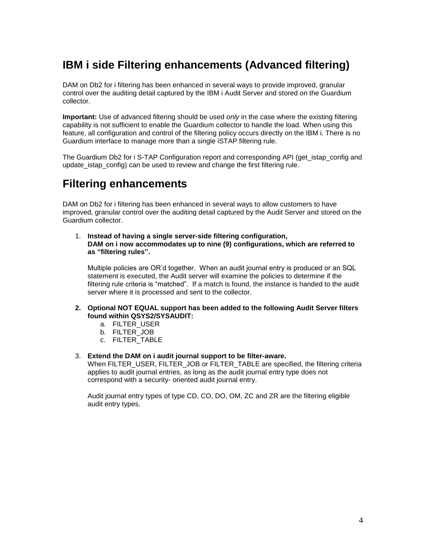# <span id="page-3-0"></span>**IBM i side Filtering enhancements (Advanced filtering)**

DAM on Db2 for i filtering has been enhanced in several ways to provide improved, granular control over the auditing detail captured by the IBM i Audit Server and stored on the Guardium collector.

**Important:** Use of advanced filtering should be used *only* in the case where the existing filtering capability is not sufficient to enable the Guardium collector to handle the load. When using this feature, all configuration and control of the filtering policy occurs directly on the IBM i. There is no Guardium interface to manage more than a single iSTAP filtering rule.

The Guardium Db2 for i S-TAP Configuration report and corresponding API (get istap config and update istap config) can be used to review and change the first filtering rule.

## <span id="page-3-1"></span>**Filtering enhancements**

DAM on Db2 for i filtering has been enhanced in several ways to allow customers to have improved, granular control over the auditing detail captured by the Audit Server and stored on the Guardium collector.

1. **Instead of having a single server-side filtering configuration, DAM on i now accommodates up to nine (9) configurations, which are referred to as "filtering rules".**

Multiple policies are OR'd together. When an audit journal entry is produced or an SQL statement is executed, the Audit server will examine the policies to determine if the filtering rule criteria is "matched". If a match is found, the instance is handed to the audit server where it is processed and sent to the collector.

- **2. Optional NOT EQUAL support has been added to the following Audit Server filters found within QSYS2/SYSAUDIT:**
	- a. FILTER\_USER
	- b. FILTER\_JOB
	- c. FILTER\_TABLE
- 3. **Extend the DAM on i audit journal support to be filter-aware.**

When FILTER\_USER, FILTER\_JOB or FILTER\_TABLE are specified, the filtering criteria applies to audit journal entries, as long as the audit journal entry type does not correspond with a security- oriented audit journal entry.

Audit journal entry types of type CD, CO, DO, OM, ZC and ZR are the filtering eligible audit entry types.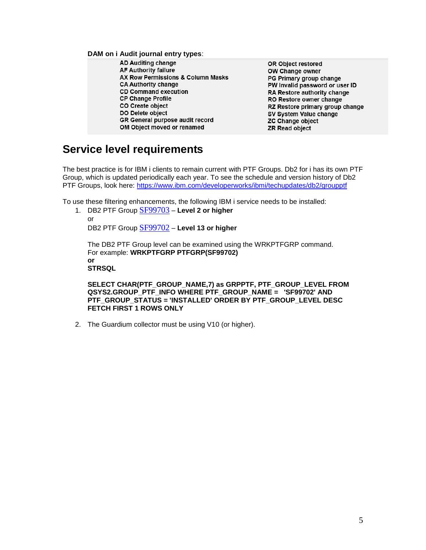**DAM on i Audit journal entry types**:

- **AD Auditing change AF Authority failure** AX Row Permissions & Column Masks **CA Authority change CD Command execution CP Change Profile** CO Create object DO Delete object **GR General purpose audit record** OM Object moved or renamed
- OR Object restored OW Change owner PG Primary group change PW Invalid password or user ID RA Restore authority change RO Restore owner change RZ Restore primary group change SV System Value change ZC Change object ZR Read object

## <span id="page-4-0"></span>**Service level requirements**

The best practice is for IBM i clients to remain current with PTF Groups. Db2 for i has its own PTF Group, which is updated periodically each year. To see the schedule and version history of Db2 PTF Groups, look here:<https://www.ibm.com/developerworks/ibmi/techupdates/db2/groupptf>

To use these filtering enhancements, the following IBM i service needs to be installed:

1. DB2 PTF Group [SF99703](http://www-912.ibm.com/s_dir/sline003.nsf/7f02fa4a8460c21f86256c450052b184/8a81092ac85dc51f86257f92003532b2?OpenDocument&Highlight=2,SF99703) – **Level 2 or higher** or DB2 PTF Group [SF99702](http://www-912.ibm.com/systems/electronic/support/s_dir/sline003.nsf/PSP%20Number%20View/SF99702) – **Level 13 or higher**

The DB2 PTF Group level can be examined using the WRKPTFGRP command. For example: **WRKPTFGRP PTFGRP(SF99702) or STRSQL**

**SELECT CHAR(PTF\_GROUP\_NAME,7) as GRPPTF, PTF\_GROUP\_LEVEL FROM QSYS2.GROUP\_PTF\_INFO WHERE PTF\_GROUP\_NAME = 'SF99702' AND PTF\_GROUP\_STATUS = 'INSTALLED' ORDER BY PTF\_GROUP\_LEVEL DESC FETCH FIRST 1 ROWS ONLY**

2. The Guardium collector must be using V10 (or higher).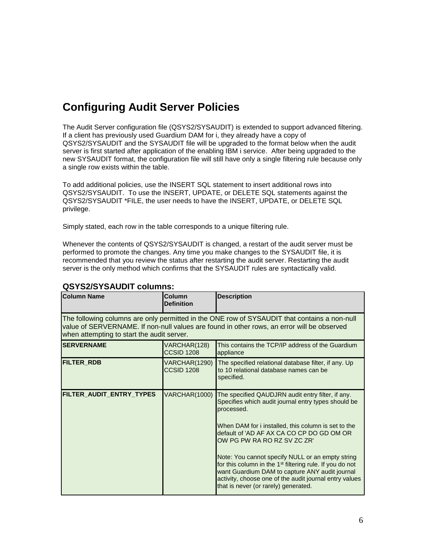# <span id="page-5-0"></span>**Configuring Audit Server Policies**

The Audit Server configuration file (QSYS2/SYSAUDIT) is extended to support advanced filtering. If a client has previously used Guardium DAM for i, they already have a copy of QSYS2/SYSAUDIT and the SYSAUDIT file will be upgraded to the format below when the audit server is first started after application of the enabling IBM i service. After being upgraded to the new SYSAUDIT format, the configuration file will still have only a single filtering rule because only a single row exists within the table.

To add additional policies, use the INSERT SQL statement to insert additional rows into QSYS2/SYSAUDIT. To use the INSERT, UPDATE, or DELETE SQL statements against the QSYS2/SYSAUDIT \*FILE, the user needs to have the INSERT, UPDATE, or DELETE SQL privilege.

Simply stated, each row in the table corresponds to a unique filtering rule.

Whenever the contents of QSYS2/SYSAUDIT is changed, a restart of the audit server must be performed to promote the changes. Any time you make changes to the SYSAUDIT file, it is recommended that you review the status after restarting the audit server. Restarting the audit server is the only method which confirms that the SYSAUDIT rules are syntactically valid.

| <b>Column Name</b>                                                                                                                                                                                                                       | Column<br><b>Definition</b>        | <b>Description</b>                                                                                                                                                                                                                                                                                                                                                                                                                                                                                                                        |  |
|------------------------------------------------------------------------------------------------------------------------------------------------------------------------------------------------------------------------------------------|------------------------------------|-------------------------------------------------------------------------------------------------------------------------------------------------------------------------------------------------------------------------------------------------------------------------------------------------------------------------------------------------------------------------------------------------------------------------------------------------------------------------------------------------------------------------------------------|--|
| The following columns are only permitted in the ONE row of SYSAUDIT that contains a non-null<br>value of SERVERNAME. If non-null values are found in other rows, an error will be observed<br>when attempting to start the audit server. |                                    |                                                                                                                                                                                                                                                                                                                                                                                                                                                                                                                                           |  |
| <b>SERVERNAME</b>                                                                                                                                                                                                                        | VARCHAR(128)<br><b>CCSID 1208</b>  | This contains the TCP/IP address of the Guardium<br>appliance                                                                                                                                                                                                                                                                                                                                                                                                                                                                             |  |
| <b>FILTER RDB</b>                                                                                                                                                                                                                        | VARCHAR(1290)<br><b>CCSID 1208</b> | The specified relational database filter, if any. Up<br>to 10 relational database names can be<br>specified.                                                                                                                                                                                                                                                                                                                                                                                                                              |  |
| FILTER_AUDIT_ENTRY_TYPES                                                                                                                                                                                                                 | VARCHAR(1000)                      | The specified QAUDJRN audit entry filter, if any.<br>Specifies which audit journal entry types should be<br>processed.<br>When DAM for i installed, this column is set to the<br>default of 'AD AF AX CA CO CP DO GD OM OR<br>OW PG PW RA RO RZ SV ZC ZR'<br>Note: You cannot specify NULL or an empty string<br>for this column in the 1 <sup>st</sup> filtering rule. If you do not<br>want Guardium DAM to capture ANY audit journal<br>activity, choose one of the audit journal entry values<br>that is never (or rarely) generated. |  |

#### **QSYS2/SYSAUDIT columns:**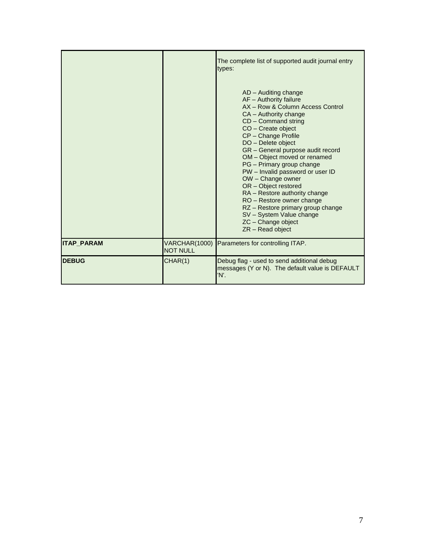|                   |                                  | The complete list of supported audit journal entry<br>types:<br>AD - Auditing change<br>AF - Authority failure<br>AX - Row & Column Access Control<br>CA - Authority change<br>CD - Command string<br>CO - Create object<br>CP - Change Profile<br>DO - Delete object<br>GR - General purpose audit record<br>OM - Object moved or renamed<br>PG - Primary group change<br>PW - Invalid password or user ID<br>OW - Change owner<br>OR - Object restored<br>RA - Restore authority change<br>RO - Restore owner change<br>RZ - Restore primary group change<br>SV - System Value change<br>ZC - Change object<br>ZR - Read object |
|-------------------|----------------------------------|-----------------------------------------------------------------------------------------------------------------------------------------------------------------------------------------------------------------------------------------------------------------------------------------------------------------------------------------------------------------------------------------------------------------------------------------------------------------------------------------------------------------------------------------------------------------------------------------------------------------------------------|
| <b>ITAP PARAM</b> | VARCHAR(1000)<br><b>NOT NULL</b> | Parameters for controlling ITAP.                                                                                                                                                                                                                                                                                                                                                                                                                                                                                                                                                                                                  |
| <b>IDEBUG</b>     | CHAR(1)                          | Debug flag - used to send additional debug<br>messages (Y or N). The default value is DEFAULT<br>'N'.                                                                                                                                                                                                                                                                                                                                                                                                                                                                                                                             |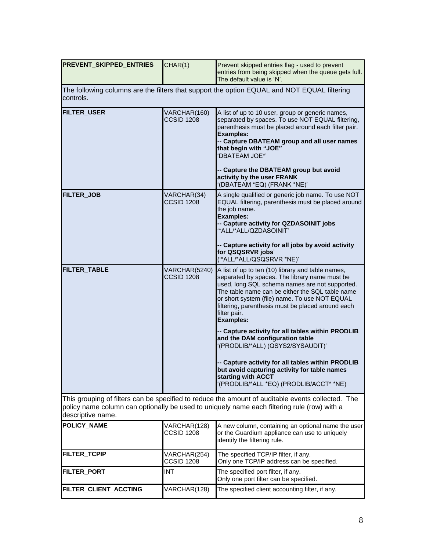| <b>PREVENT SKIPPED ENTRIES</b>                                                                                                                                                                                        | CHAR(1)                                                                                     | Prevent skipped entries flag - used to prevent<br>entries from being skipped when the queue gets full.<br>The default value is 'N'.                                                                                                                                                                                                                                                                    |  |  |
|-----------------------------------------------------------------------------------------------------------------------------------------------------------------------------------------------------------------------|---------------------------------------------------------------------------------------------|--------------------------------------------------------------------------------------------------------------------------------------------------------------------------------------------------------------------------------------------------------------------------------------------------------------------------------------------------------------------------------------------------------|--|--|
| controls.                                                                                                                                                                                                             | The following columns are the filters that support the option EQUAL and NOT EQUAL filtering |                                                                                                                                                                                                                                                                                                                                                                                                        |  |  |
| <b>FILTER_USER</b>                                                                                                                                                                                                    | VARCHAR(160)<br><b>CCSID 1208</b>                                                           | A list of up to 10 user, group or generic names,<br>separated by spaces. To use NOT EQUAL filtering,<br>parenthesis must be placed around each filter pair.<br><b>Examples:</b><br>-- Capture DBATEAM group and all user names<br>that begin with "JOE"<br>'DBATEAM JOE*'<br>-- Capture the DBATEAM group but avoid<br>activity by the user FRANK<br>'(DBATEAM *EQ) (FRANK *NE)'                       |  |  |
| <b>FILTER JOB</b>                                                                                                                                                                                                     | VARCHAR(34)<br><b>CCSID 1208</b>                                                            | A single qualified or generic job name. To use NOT<br>EQUAL filtering, parenthesis must be placed around<br>the job name.<br><b>Examples:</b><br>-- Capture activity for QZDASOINIT jobs<br>"ALL/*ALL/QZDASOINIT'<br>-- Capture activity for all jobs by avoid activity<br>for QSQSRVR jobs'<br>("ALL/*ALL/QSQSRVR *NE)"                                                                               |  |  |
| <b>FILTER_TABLE</b>                                                                                                                                                                                                   | VARCHAR(5240)<br><b>CCSID 1208</b>                                                          | A list of up to ten (10) library and table names,<br>separated by spaces. The library name must be<br>used, long SQL schema names are not supported.<br>The table name can be either the SQL table name<br>or short system (file) name. To use NOT EQUAL<br>filtering, parenthesis must be placed around each<br>filter pair.<br><b>Examples:</b><br>-- Capture activity for all tables within PRODLIB |  |  |
|                                                                                                                                                                                                                       |                                                                                             | and the DAM configuration table<br>'(PRODLIB/*ALL) (QSYS2/SYSAUDIT)'                                                                                                                                                                                                                                                                                                                                   |  |  |
|                                                                                                                                                                                                                       |                                                                                             | -- Capture activity for all tables within PRODLIB<br>but avoid capturing activity for table names<br>starting with ACCT<br>'(PRODLIB/*ALL *EQ) (PRODLIB/ACCT* *NE)                                                                                                                                                                                                                                     |  |  |
| This grouping of filters can be specified to reduce the amount of auditable events collected. The<br>policy name column can optionally be used to uniquely name each filtering rule (row) with a<br>descriptive name. |                                                                                             |                                                                                                                                                                                                                                                                                                                                                                                                        |  |  |
| POLICY_NAME                                                                                                                                                                                                           | VARCHAR(128)<br><b>CCSID 1208</b>                                                           | A new column, containing an optional name the user<br>or the Guardium appliance can use to uniquely<br>identify the filtering rule.                                                                                                                                                                                                                                                                    |  |  |
| FILTER_TCPIP                                                                                                                                                                                                          | VARCHAR(254)<br><b>CCSID 1208</b>                                                           | The specified TCP/IP filter, if any.<br>Only one TCP/IP address can be specified.                                                                                                                                                                                                                                                                                                                      |  |  |
| FILTER_PORT                                                                                                                                                                                                           | <b>INT</b>                                                                                  | The specified port filter, if any.<br>Only one port filter can be specified.                                                                                                                                                                                                                                                                                                                           |  |  |
| FILTER_CLIENT_ACCTING                                                                                                                                                                                                 | VARCHAR(128)                                                                                | The specified client accounting filter, if any.                                                                                                                                                                                                                                                                                                                                                        |  |  |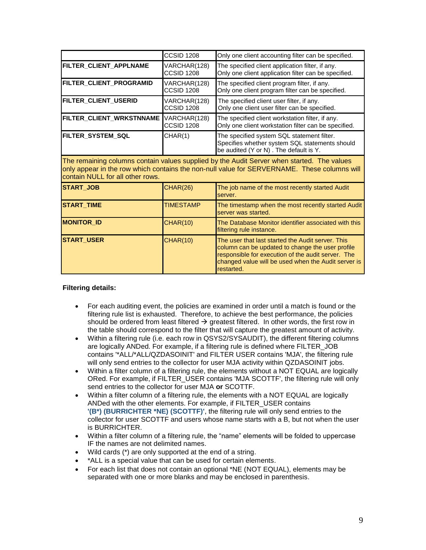|                                                                                                                                                                                                                               | <b>CCSID 1208</b>                 | Only one client accounting filter can be specified.                                                                                                                                                                              |
|-------------------------------------------------------------------------------------------------------------------------------------------------------------------------------------------------------------------------------|-----------------------------------|----------------------------------------------------------------------------------------------------------------------------------------------------------------------------------------------------------------------------------|
| FILTER_CLIENT_APPLNAME                                                                                                                                                                                                        | VARCHAR(128)<br><b>CCSID 1208</b> | The specified client application filter, if any.<br>Only one client application filter can be specified.                                                                                                                         |
| FILTER CLIENT PROGRAMID                                                                                                                                                                                                       | VARCHAR(128)<br><b>CCSID 1208</b> | The specified client program filter, if any.<br>Only one client program filter can be specified.                                                                                                                                 |
| FILTER CLIENT USERID                                                                                                                                                                                                          | VARCHAR(128)<br><b>CCSID 1208</b> | The specified client user filter, if any.<br>Only one client user filter can be specified.                                                                                                                                       |
| FILTER_CLIENT_WRKSTNNAME                                                                                                                                                                                                      | VARCHAR(128)<br><b>CCSID 1208</b> | The specified client workstation filter, if any.<br>Only one client workstation filter can be specified.                                                                                                                         |
| FILTER SYSTEM SQL                                                                                                                                                                                                             | CHAR(1)                           | The specified system SQL statement filter.<br>Specifies whether system SQL statements should<br>be audited (Y or N). The default is Y.                                                                                           |
| The remaining columns contain values supplied by the Audit Server when started. The values<br>only appear in the row which contains the non-null value for SERVERNAME. These columns will<br>contain NULL for all other rows. |                                   |                                                                                                                                                                                                                                  |
| <b>START JOB</b>                                                                                                                                                                                                              | <b>CHAR(26)</b>                   | The job name of the most recently started Audit<br>server.                                                                                                                                                                       |
| <b>START_TIME</b>                                                                                                                                                                                                             | <b>TIMESTAMP</b>                  | The timestamp when the most recently started Audit<br>server was started.                                                                                                                                                        |
| <b>MONITOR ID</b>                                                                                                                                                                                                             | <b>CHAR(10)</b>                   | The Database Monitor identifier associated with this<br>filtering rule instance.                                                                                                                                                 |
| <b>START_USER</b>                                                                                                                                                                                                             | <b>CHAR(10)</b>                   | The user that last started the Audit server. This<br>column can be updated to change the user profile<br>responsible for execution of the audit server. The<br>changed value will be used when the Audit server is<br>restarted. |

#### **Filtering details:**

- For each auditing event, the policies are examined in order until a match is found or the filtering rule list is exhausted. Therefore, to achieve the best performance, the policies should be ordered from least filtered  $\rightarrow$  greatest filtered. In other words, the first row in the table should correspond to the filter that will capture the greatest amount of activity.
- Within a filtering rule (i.e. each row in QSYS2/SYSAUDIT), the different filtering columns are logically ANDed. For example, if a filtering rule is defined where FILTER\_JOB contains '\*ALL/\*ALL/QZDASOINIT' and FILTER USER contains 'MJA', the filtering rule will only send entries to the collector for user MJA activity within QZDASOINIT jobs.
- Within a filter column of a filtering rule, the elements without a NOT EQUAL are logically ORed. For example, if FILTER\_USER contains 'MJA SCOTTF', the filtering rule will only send entries to the collector for user MJA **or** SCOTTF.
- Within a filter column of a filtering rule, the elements with a NOT EQUAL are logically ANDed with the other elements. For example, if FILTER\_USER contains **'(B\*) (BURRICHTER \*NE) (SCOTTF)'**, the filtering rule will only send entries to the collector for user SCOTTF and users whose name starts with a B, but not when the user is BURRICHTER.
- Within a filter column of a filtering rule, the "name" elements will be folded to uppercase IF the names are not delimited names.
- Wild cards (\*) are only supported at the end of a string.
- \*ALL is a special value that can be used for certain elements.
- For each list that does not contain an optional \*NE (NOT EQUAL), elements may be separated with one or more blanks and may be enclosed in parenthesis.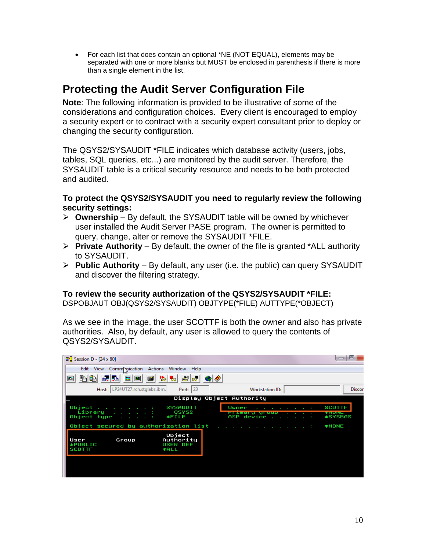For each list that does contain an optional \*NE (NOT EQUAL), elements may be separated with one or more blanks but MUST be enclosed in parenthesis if there is more than a single element in the list.

# <span id="page-9-0"></span>**Protecting the Audit Server Configuration File**

**Note**: The following information is provided to be illustrative of some of the considerations and configuration choices. Every client is encouraged to employ a security expert or to contract with a security expert consultant prior to deploy or changing the security configuration.

The QSYS2/SYSAUDIT \*FILE indicates which database activity (users, jobs, tables, SQL queries, etc...) are monitored by the audit server. Therefore, the SYSAUDIT table is a critical security resource and needs to be both protected and audited.

**To protect the QSYS2/SYSAUDIT you need to regularly review the following security settings:**

- **Ownership** By default, the SYSAUDIT table will be owned by whichever user installed the Audit Server PASE program. The owner is permitted to query, change, alter or remove the SYSAUDIT \*FILE.
- **Private Authority** By default, the owner of the file is granted \*ALL authority to SYSAUDIT.
- **Public Authority** By default, any user (i.e. the public) can query SYSAUDIT and discover the filtering strategy.

### **To review the security authorization of the QSYS2/SYSAUDIT \*FILE:**

DSPOBJAUT OBJ(QSYS2/SYSAUDIT) OBJTYPE(\*FILE) AUTTYPE(\*OBJECT)

As we see in the image, the user SCOTTF is both the owner and also has private authorities. Also, by default, any user is allowed to query the contents of QSYS2/SYSAUDIT.

| $\mathbb{E}$ Session D - [24 x 80]                                                                           |                                                                             |                                                                                           | ⊫                                                 |
|--------------------------------------------------------------------------------------------------------------|-----------------------------------------------------------------------------|-------------------------------------------------------------------------------------------|---------------------------------------------------|
| Comm vication<br>Edit<br>View                                                                                | Actions<br>Window<br>Help                                                   |                                                                                           |                                                   |
| 毛亀<br>圖<br>画<br>橿<br>■<br>視聴                                                                                 | $\frac{1}{\log  \omega }$ $\frac{1}{\sqrt{2}}$<br>$ \omega_0 $ $ \omega_0 $ |                                                                                           |                                                   |
| LP24UT27.rch.stglabs.ibm.<br>Host:                                                                           | Port: 23                                                                    | Workstation ID:                                                                           | <b>Discor</b>                                     |
|                                                                                                              |                                                                             | Display Object Authority                                                                  |                                                   |
| Object<br>the company of the company of the company of<br>Library :<br>Object type<br><b>Service Control</b> | <b>SYSAUDIT</b><br>QSYS2<br><b>*FILE</b>                                    | Owner<br><u>ISING ANGLES ING PAGE 19</u><br>ASP device<br>the contract of the contract of | <b>SCOTTF</b><br><b>WINDOWS</b><br><b>*SYSBAS</b> |
| Object secured by authorization list                                                                         |                                                                             | the company of the company of the company of                                              | <b>*NONE</b>                                      |
| User<br>Group<br><b>*PUBLIC</b><br><b>SCOTTF</b>                                                             | Object<br>Authority<br><b>USER DEF</b><br><b>*ALL</b>                       |                                                                                           |                                                   |
|                                                                                                              |                                                                             |                                                                                           |                                                   |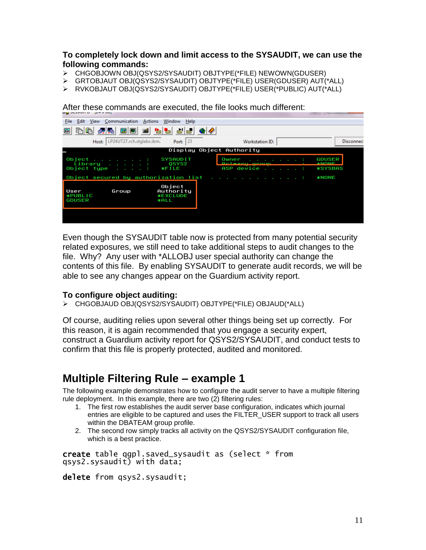#### **To completely lock down and limit access to the SYSAUDIT, we can use the following commands:**

- CHGOBJOWN OBJ(QSYS2/SYSAUDIT) OBJTYPE(\*FILE) NEWOWN(GDUSER)
- GRTOBJAUT OBJ(QSYS2/SYSAUDIT) OBJTYPE(\*FILE) USER(GDUSER) AUT(\*ALL)
- RVKOBJAUT OBJ(QSYS2/SYSAUDIT) OBJTYPE(\*FILE) USER(\*PUBLIC) AUT(\*ALL)

File Edit View Communication Actions Window Help Host: LP24UT27.rch.stglabs.ibm. Port:  $\sqrt{23}$ Workstation ID: Disconnec Display Object Authority Object . .<br>Library<br>Object type **SYSAUDIT Owner GDUSER** QSYS2<br>FILE ASP device **\*SYSBAS** Object secured by authorization list **\*NONE** Object<br>Authority Group User **\*PUBLIC**<br>GDUSER **ECLUDE \*EXC**<br>\*ALL

After these commands are executed, the file looks much different:

Even though the SYSAUDIT table now is protected from many potential security related exposures, we still need to take additional steps to audit changes to the file. Why? Any user with \*ALLOBJ user special authority can change the contents of this file. By enabling SYSAUDIT to generate audit records, we will be able to see any changes appear on the Guardium activity report.

#### **To configure object auditing:**

CHGOBJAUD OBJ(QSYS2/SYSAUDIT) OBJTYPE(\*FILE) OBJAUD(\*ALL)

Of course, auditing relies upon several other things being set up correctly. For this reason, it is again recommended that you engage a security expert, construct a Guardium activity report for QSYS2/SYSAUDIT, and conduct tests to confirm that this file is properly protected, audited and monitored.

## <span id="page-10-0"></span>**Multiple Filtering Rule – example 1**

The following example demonstrates how to configure the audit server to have a multiple filtering rule deployment. In this example, there are two (2) filtering rules:

- 1. The first row establishes the audit server base configuration, indicates which journal entries are eligible to be captured and uses the FILTER\_USER support to track all users within the DBATEAM group profile.
- 2. The second row simply tracks all activity on the QSYS2/SYSAUDIT configuration file, which is a best practice.

create table qgpl.saved\_sysaudit as (select \* from qsys2.sysaudit) with data;

delete from qsys2.sysaudit;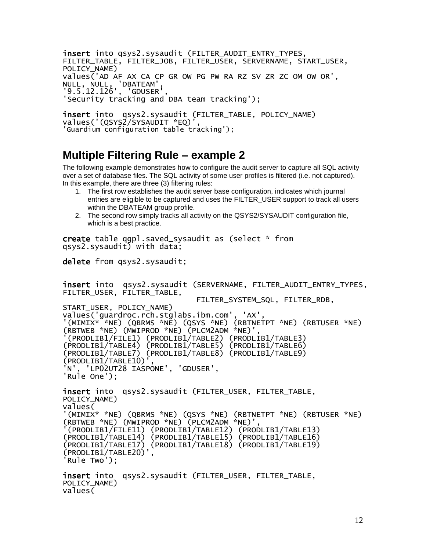insert into qsys2.sysaudit (FILTER\_AUDIT\_ENTRY\_TYPES, FILTER\_TABLE, FILTER\_JOB, FILTER\_USER, SERVERNAME, START\_USER, POLICY\_NAME) values('AD AF AX CA CP GR OW PG PW RA RZ SV ZR ZC OM OW OR', NULL, NULL, 'DBATEAM', '9.5.12.126', 'GDUSER', 'Security tracking and DBA team tracking');

```
insert into qsys2.sysaudit (FILTER_TABLE, POLICY_NAME)
values('(QSYS2/SYSAUDIT *EQ)
'Guardium configuration table tracking');
```
### <span id="page-11-0"></span>**Multiple Filtering Rule – example 2**

The following example demonstrates how to configure the audit server to capture all SQL activity over a set of database files. The SQL activity of some user profiles is filtered (i.e. not captured). In this example, there are three (3) filtering rules:

- 1. The first row establishes the audit server base configuration, indicates which journal entries are eligible to be captured and uses the FILTER\_USER support to track all users within the DBATEAM group profile.
- 2. The second row simply tracks all activity on the QSYS2/SYSAUDIT configuration file, which is a best practice.

create table qgpl.saved\_sysaudit as (select \* from qsys2.sysaudit) with data;

```
delete from qsys2.sysaudit;
```
insert into qsys2.sysaudit (SERVERNAME, FILTER\_AUDIT\_ENTRY\_TYPES, FILTER\_USER, FILTER\_TABLE, FILTER\_SYSTEM\_SQL, FILTER\_RDB, START\_USER, POLICY\_NAME) values('guardroc.rch.stglabs.ibm.com', 'AX', '(MIMIX\* \*NE) (QBRMS \*NE) (QSYS \*NE) (RBTNETPT \*NE) (RBTUSER \*NE) (RBTWEB \*NE) (MWIPROD \*NE) (PLCM2ADM \*NE)', '(PRODLIB1/FILE1) (PRODLIB1/TABLE2) (PRODLIB1/TABLE3) (PRODLIB1/TABLE4) (PRODLIB1/TABLE5) (PRODLIB1/TABLE6) (PRODLIB1/TABLE7) (PRODLIB1/TABLE8) (PRODLIB1/TABLE9) (PRODLIB1/TABLE10)', 'N', 'LP02UT28 IASPONE', 'GDUSER', 'Rule One'); insert into qsys2.sysaudit (FILTER\_USER, FILTER\_TABLE, POLICY\_NAME) values( '(MIMIX\* \*NE) (QBRMS \*NE) (QSYS \*NE) (RBTNETPT \*NE) (RBTUSER \*NE) (RBTWEB \*NE) (MWIPROD \*NE) (PLCM2ADM \*NE)', '(PRODLIB1/FILE11) (PRODLIB1/TABLE12) (PRODLIB1/TABLE13) (PRODLIB1/TABLE14) (PRODLIB1/TABLE15) (PRODLIB1/TABLE16) (PRODLIB1/TABLE17) (PRODLIB1/TABLE18) (PRODLIB1/TABLE19) (PRODLIB1/TABLE20)', 'Rule Two'); insert into qsys2.sysaudit (FILTER\_USER, FILTER\_TABLE, POLICY\_NAME)  $value\overline{6}$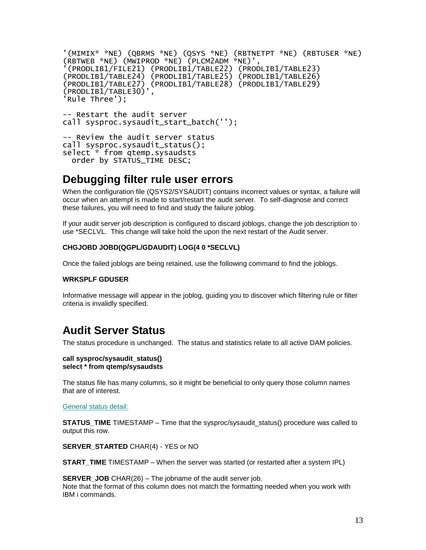```
'(MIMIX* *NE) (QBRMS *NE) (QSYS *NE) (RBTNETPT *NE) (RBTUSER *NE) 
(RBTWEB *NE) (MWIPROD *NE) (PLCM2ADM *NE)',
 '(PRODLIB1/FILE21) (PRODLIB1/TABLE22) (PRODLIB1/TABLE23) 
(PRODLIB1/TABLE24) (PRODLIB1/TABLE25) (PRODLIB1/TABLE26) 
(PRODLIB1/TABLE27) (PRODLIB1/TABLE28) (PRODLIB1/TABLE29) 
(PRODLIB1/TABLE30)',
Rule Three');
-- Restart the audit server
call sysproc.sysaudit_start_batch('');
-- Review the audit server status
call sysproc.sysaudit_status();
select<sup>*</sup> from qtemp.sysaudsts
```
### <span id="page-12-0"></span>**Debugging filter rule user errors**

order by STATUS\_TIME DESC;

When the configuration file (QSYS2/SYSAUDIT) contains incorrect values or syntax, a failure will occur when an attempt is made to start/restart the audit server. To self-diagnose and correct these failures, you will need to find and study the failure joblog.

If your audit server job description is configured to discard joblogs, change the job description to use \*SECLVL. This change will take hold the upon the next restart of the Audit server.

#### **CHGJOBD JOBD(QGPL/GDAUDIT) LOG(4 0 \*SECLVL)**

Once the failed joblogs are being retained, use the following command to find the joblogs.

#### **WRKSPLF GDUSER**

Informative message will appear in the joblog, guiding you to discover which filtering rule or filter criteria is invalidly specified.

### <span id="page-12-1"></span>**Audit Server Status**

The status procedure is unchanged. The status and statistics relate to all active DAM policies.

#### **call sysproc/sysaudit\_status() select \* from qtemp/sysaudsts**

The status file has many columns, so it might be beneficial to only query those column names that are of interest.

#### General status detail:

**STATUS TIME** TIMESTAMP – Time that the sysproc/sysaudit status() procedure was called to output this row.

**SERVER STARTED** CHAR(4) - YES or NO

**START\_TIME** TIMESTAMP – When the server was started (or restarted after a system IPL)

**SERVER** JOB CHAR(26) – The jobname of the audit server job. Note that the format of this column does not match the formatting needed when you work with IBM i commands.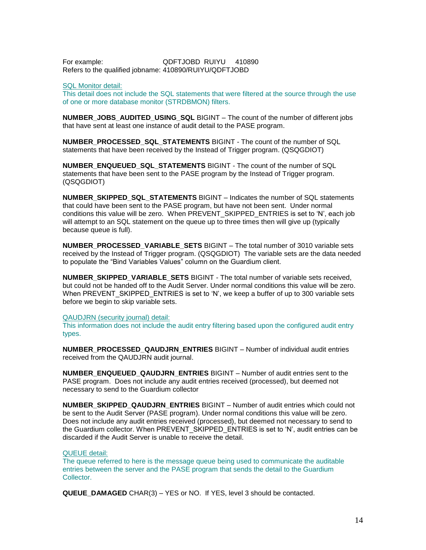For example: QDFTJOBD RUIYU 410890 Refers to the qualified jobname: 410890/RUIYU/QDFTJOBD

#### SQL Monitor detail:

This detail does not include the SQL statements that were filtered at the source through the use of one or more database monitor (STRDBMON) filters.

**NUMBER\_JOBS\_AUDITED\_USING\_SQL** BIGINT – The count of the number of different jobs that have sent at least one instance of audit detail to the PASE program.

**NUMBER\_PROCESSED\_SQL\_STATEMENTS** BIGINT - The count of the number of SQL statements that have been received by the Instead of Trigger program. (QSQGDIOT)

**NUMBER\_ENQUEUED\_SQL\_STATEMENTS** BIGINT - The count of the number of SQL statements that have been sent to the PASE program by the Instead of Trigger program. (QSQGDIOT)

**NUMBER\_SKIPPED\_SQL\_STATEMENTS** BIGINT – Indicates the number of SQL statements that could have been sent to the PASE program, but have not been sent. Under normal conditions this value will be zero. When PREVENT\_SKIPPED\_ENTRIES is set to 'N', each job will attempt to an SQL statement on the queue up to three times then will give up (typically because queue is full).

**NUMBER\_PROCESSED\_VARIABLE\_SETS** BIGINT – The total number of 3010 variable sets received by the Instead of Trigger program. (QSQGDIOT) The variable sets are the data needed to populate the "Bind Variables Values" column on the Guardium client.

**NUMBER\_SKIPPED\_VARIABLE\_SETS** BIGINT - The total number of variable sets received, but could not be handed off to the Audit Server. Under normal conditions this value will be zero. When PREVENT SKIPPED ENTRIES is set to 'N', we keep a buffer of up to 300 variable sets before we begin to skip variable sets.

#### QAUDJRN (security journal) detail:

This information does not include the audit entry filtering based upon the configured audit entry types.

**NUMBER\_PROCESSED\_QAUDJRN\_ENTRIES** BIGINT – Number of individual audit entries received from the QAUDJRN audit journal.

**NUMBER\_ENQUEUED\_QAUDJRN\_ENTRIES** BIGINT – Number of audit entries sent to the PASE program. Does not include any audit entries received (processed), but deemed not necessary to send to the Guardium collector

**NUMBER\_SKIPPED\_QAUDJRN\_ENTRIES** BIGINT – Number of audit entries which could not be sent to the Audit Server (PASE program). Under normal conditions this value will be zero. Does not include any audit entries received (processed), but deemed not necessary to send to the Guardium collector. When PREVENT\_SKIPPED\_ENTRIES is set to 'N', audit entries can be discarded if the Audit Server is unable to receive the detail.

#### QUEUE detail:

The queue referred to here is the message queue being used to communicate the auditable entries between the server and the PASE program that sends the detail to the Guardium Collector.

**QUEUE\_DAMAGED** CHAR(3) – YES or NO. If YES, level 3 should be contacted.